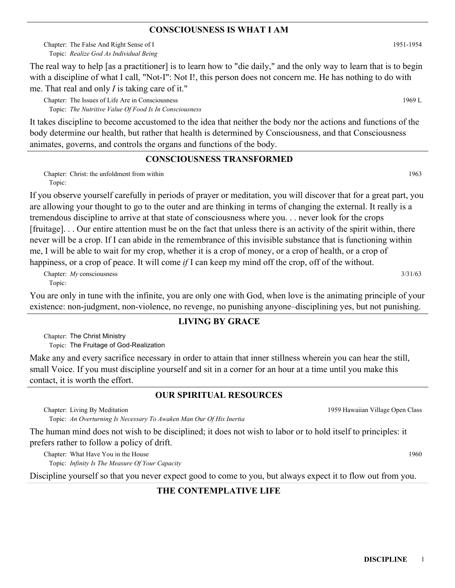#### **CONSCIOUSNESS IS WHAT I AM**

Chapter: The False And Right Sense of I and The Table 3 and Table 3 and Table 3 and Table 3 and Table 3 and Table 3 and Table 3 and Table 3 and Table 3 and Table 3 and Table 3 and Table 3 and Table 3 and Table 3 and Table *Realize God As Individual Being* Topic:

The real way to help [as a practitioner] is to learn how to "die daily," and the only way to learn that is to begin with a discipline of what I call, "Not-I": Not I!, this person does not concern me. He has nothing to do with me. That real and only *I* is taking care of it."

Chapter: The Issues of Life Are in Consciousness and the state of the State Are in Consciousness and the State Are in Consciousness and the State Are in Consciousness and the State Are in Consciousness and the State Are in *The Nutritive Value Of Food Is In Consciousness* Topic:

It takes discipline to become accustomed to the idea that neither the body nor the actions and functions of the body determine our health, but rather that health is determined by Consciousness, and that Consciousness animates, governs, and controls the organs and functions of the body.

## **CONSCIOUSNESS TRANSFORMED**

Chapter: Christ: the unfoldment from within 1963 Topic:

If you observe yourself carefully in periods of prayer or meditation, you will discover that for a great part, you are allowing your thought to go to the outer and are thinking in terms of changing the external. It really is a tremendous discipline to arrive at that state of consciousness where you. . . never look for the crops [fruitage]. . . Our entire attention must be on the fact that unless there is an activity of the spirit within, there never will be a crop. If I can abide in the remembrance of this invisible substance that is functioning within me, I will be able to wait for my crop, whether it is a crop of money, or a crop of health, or a crop of happiness, or a crop of peace. It will come *if* I can keep my mind off the crop, off of the without.

Chapter: *My* consciousness 3/31/63 Topic:

You are only in tune with the infinite, you are only one with God, when love is the animating principle of your existence: non-judgment, non-violence, no revenge, no punishing anyone–disciplining yes, but not punishing.

#### **LIVING BY GRACE**

Chapter: The Christ Ministry Topic: The Fruitage of God-Realization

Make any and every sacrifice necessary in order to attain that inner stillness wherein you can hear the still, small Voice. If you must discipline yourself and sit in a corner for an hour at a time until you make this contact, it is worth the effort.

# **OUR SPIRITUAL RESOURCES**

Chapter: Living By Meditation

*An Overturning Is Necessary To Awaken Man Our Of His Inertia* Topic:

The human mind does not wish to be disciplined; it does not wish to labor or to hold itself to principles: it prefers rather to follow a policy of drift.

Chapter: What Have You in the House 1960 *Infinity Is The Measure Of Your Capacity* Topic:

Discipline yourself so that you never expect good to come to you, but always expect it to flow out from you.

# **THE CONTEMPLATIVE LIFE**

1959 Hawaiian Village Open Class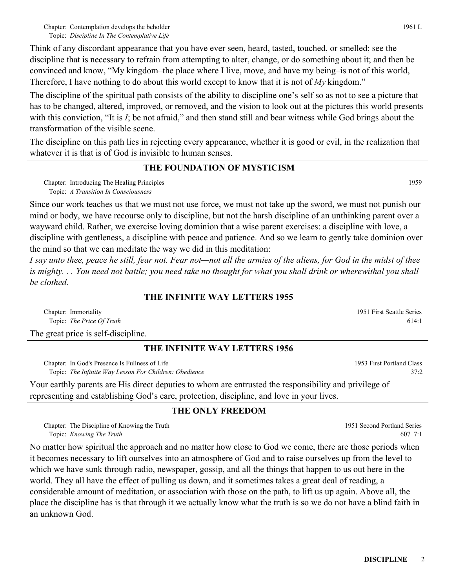Chapter: Contemplation develops the beholder and the contemplation of the beholder of the beholder of the contemplation of the beholder *Discipline In The Contemplative Life* Topic:

Think of any discordant appearance that you have ever seen, heard, tasted, touched, or smelled; see the discipline that is necessary to refrain from attempting to alter, change, or do something about it; and then be convinced and know, "My kingdom–the place where I live, move, and have my being–is not of this world, Therefore, I have nothing to do about this world except to know that it is not of *My* kingdom."

The discipline of the spiritual path consists of the ability to discipline one's self so as not to see a picture that has to be changed, altered, improved, or removed, and the vision to look out at the pictures this world presents with this conviction, "It is *I*; be not afraid," and then stand still and bear witness while God brings about the transformation of the visible scene.

The discipline on this path lies in rejecting every appearance, whether it is good or evil, in the realization that whatever it is that is of God is invisible to human senses.

## **THE FOUNDATION OF MYSTICISM**

Chapter: Introducing The Healing Principles 1959 *A Transition In Consciousness* Topic:

Since our work teaches us that we must not use force, we must not take up the sword, we must not punish our mind or body, we have recourse only to discipline, but not the harsh discipline of an unthinking parent over a wayward child. Rather, we exercise loving dominion that a wise parent exercises: a discipline with love, a discipline with gentleness, a discipline with peace and patience. And so we learn to gently take dominion over the mind so that we can meditate the way we did in this meditation:

*I say unto thee, peace he still, fear not. Fear not—not all the armies of the aliens, for God in the midst of thee is mighty. . . You need not battle; you need take no thought for what you shall drink or wherewithal you shall be clothed.*

### **THE INFINITE WAY LETTERS 1955**

Chapter: Immortality *The Price Of Truth* Topic:

The great price is self-discipline.

#### **THE INFINITE WAY LETTERS 1956**

Chapter: In God's Presence Is Fullness of Life *The Infinite Way Lesson For Children: Obedience* Topic:

Your earthly parents are His direct deputies to whom are entrusted the responsibility and privilege of representing and establishing God's care, protection, discipline, and love in your lives.

# **THE ONLY FREEDOM**

Chapter: The Discipline of Knowing the Truth *Knowing The Truth* Topic:

No matter how spiritual the approach and no matter how close to God we come, there are those periods when it becomes necessary to lift ourselves into an atmosphere of God and to raise ourselves up from the level to which we have sunk through radio, newspaper, gossip, and all the things that happen to us out here in the world. They all have the effect of pulling us down, and it sometimes takes a great deal of reading, a considerable amount of meditation, or association with those on the path, to lift us up again. Above all, the place the discipline has is that through it we actually know what the truth is so we do not have a blind faith in an unknown God.

1951 First Seattle Series 614:1

1953 First Portland Class 37:2

1951 Second Portland Series

607 7:1